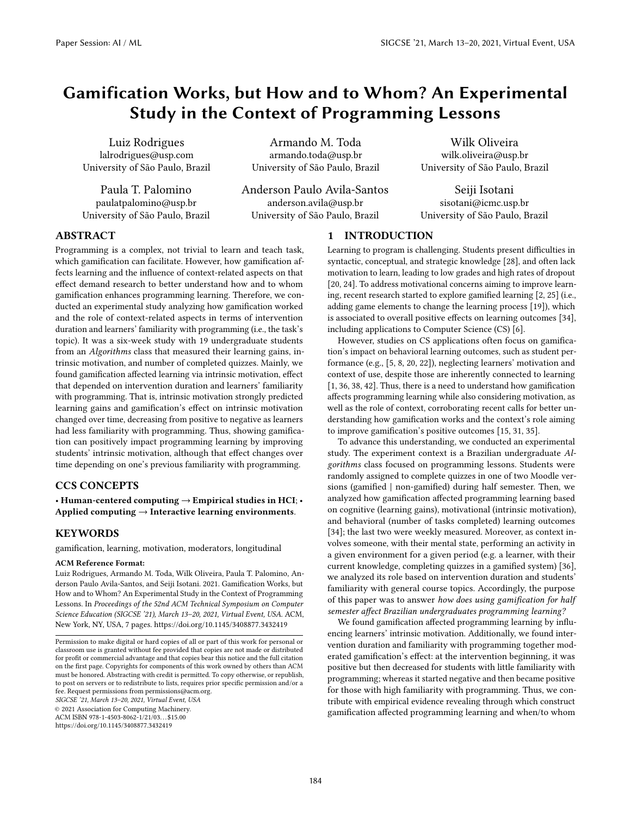# Gamification Works, but How and to Whom? An Experimental Study in the Context of Programming Lessons

Luiz Rodrigues lalrodrigues@usp.com University of São Paulo, Brazil

Paula T. Palomino paulatpalomino@usp.br University of São Paulo, Brazil

Armando M. Toda armando.toda@usp.br University of São Paulo, Brazil

Anderson Paulo Avila-Santos anderson.avila@usp.br University of São Paulo, Brazil

Wilk Oliveira wilk.oliveira@usp.br University of São Paulo, Brazil

Seiji Isotani sisotani@icmc.usp.br University of São Paulo, Brazil

## ABSTRACT

Programming is a complex, not trivial to learn and teach task, which gamification can facilitate. However, how gamification affects learning and the influence of context-related aspects on that effect demand research to better understand how and to whom gamification enhances programming learning. Therefore, we conducted an experimental study analyzing how gamification worked and the role of context-related aspects in terms of intervention duration and learners' familiarity with programming (i.e., the task's topic). It was a six-week study with 19 undergraduate students from an Algorithms class that measured their learning gains, intrinsic motivation, and number of completed quizzes. Mainly, we found gamification affected learning via intrinsic motivation, effect that depended on intervention duration and learners' familiarity with programming. That is, intrinsic motivation strongly predicted learning gains and gamification's effect on intrinsic motivation changed over time, decreasing from positive to negative as learners had less familiarity with programming. Thus, showing gamification can positively impact programming learning by improving students' intrinsic motivation, although that effect changes over time depending on one's previous familiarity with programming.

## CCS CONCEPTS

• Human-centered computing → Empirical studies in HCI; • Applied computing  $\rightarrow$  Interactive learning environments.

## **KEYWORDS**

gamification, learning, motivation, moderators, longitudinal

#### ACM Reference Format:

Luiz Rodrigues, Armando M. Toda, Wilk Oliveira, Paula T. Palomino, Anderson Paulo Avila-Santos, and Seiji Isotani. 2021. Gamification Works, but How and to Whom? An Experimental Study in the Context of Programming Lessons. In Proceedings of the 52nd ACM Technical Symposium on Computer Science Education (SIGCSE '21), March 13–20, 2021, Virtual Event, USA. ACM, New York, NY, USA, [7](#page-6-0) pages.<https://doi.org/10.1145/3408877.3432419>

SIGCSE '21, March 13–20, 2021, Virtual Event, USA

© 2021 Association for Computing Machinery.

ACM ISBN 978-1-4503-8062-1/21/03. . . \$15.00 <https://doi.org/10.1145/3408877.3432419>

1 INTRODUCTION

Learning to program is challenging. Students present difficulties in syntactic, conceptual, and strategic knowledge [\[28\]](#page-6-1), and often lack motivation to learn, leading to low grades and high rates of dropout [\[20,](#page-6-2) [24\]](#page-6-3). To address motivational concerns aiming to improve learning, recent research started to explore gamified learning [\[2,](#page-6-4) [25\]](#page-6-5) (i.e., adding game elements to change the learning process [\[19\]](#page-6-6)), which is associated to overall positive effects on learning outcomes [\[34\]](#page-6-7), including applications to Computer Science (CS) [\[6\]](#page-6-8).

However, studies on CS applications often focus on gamification's impact on behavioral learning outcomes, such as student performance (e.g., [\[5,](#page-6-9) [8,](#page-6-10) [20,](#page-6-2) [22\]](#page-6-11)), neglecting learners' motivation and context of use, despite those are inherently connected to learning [\[1,](#page-6-12) [36,](#page-6-13) [38,](#page-6-14) [42\]](#page-6-15). Thus, there is a need to understand how gamification affects programming learning while also considering motivation, as well as the role of context, corroborating recent calls for better understanding how gamification works and the context's role aiming to improve gamification's positive outcomes [\[15,](#page-6-16) [31,](#page-6-17) [35\]](#page-6-18).

To advance this understanding, we conducted an experimental study. The experiment context is a Brazilian undergraduate Algorithms class focused on programming lessons. Students were randomly assigned to complete quizzes in one of two Moodle versions (gamified | non-gamified) during half semester. Then, we analyzed how gamification affected programming learning based on cognitive (learning gains), motivational (intrinsic motivation), and behavioral (number of tasks completed) learning outcomes [\[34\]](#page-6-7); the last two were weekly measured. Moreover, as context involves someone, with their mental state, performing an activity in a given environment for a given period (e.g. a learner, with their current knowledge, completing quizzes in a gamified system) [\[36\]](#page-6-13), we analyzed its role based on intervention duration and students' familiarity with general course topics. Accordingly, the purpose of this paper was to answer how does using gamification for half semester affect Brazilian undergraduates programming learning?

We found gamification affected programming learning by influencing learners' intrinsic motivation. Additionally, we found intervention duration and familiarity with programming together moderated gamification's effect: at the intervention beginning, it was positive but then decreased for students with little familiarity with programming; whereas it started negative and then became positive for those with high familiarity with programming. Thus, we contribute with empirical evidence revealing through which construct gamification affected programming learning and when/to whom

Permission to make digital or hard copies of all or part of this work for personal or classroom use is granted without fee provided that copies are not made or distributed for profit or commercial advantage and that copies bear this notice and the full citation on the first page. Copyrights for components of this work owned by others than ACM must be honored. Abstracting with credit is permitted. To copy otherwise, or republish, to post on servers or to redistribute to lists, requires prior specific permission and/or a fee. Request permissions from permissions@acm.org.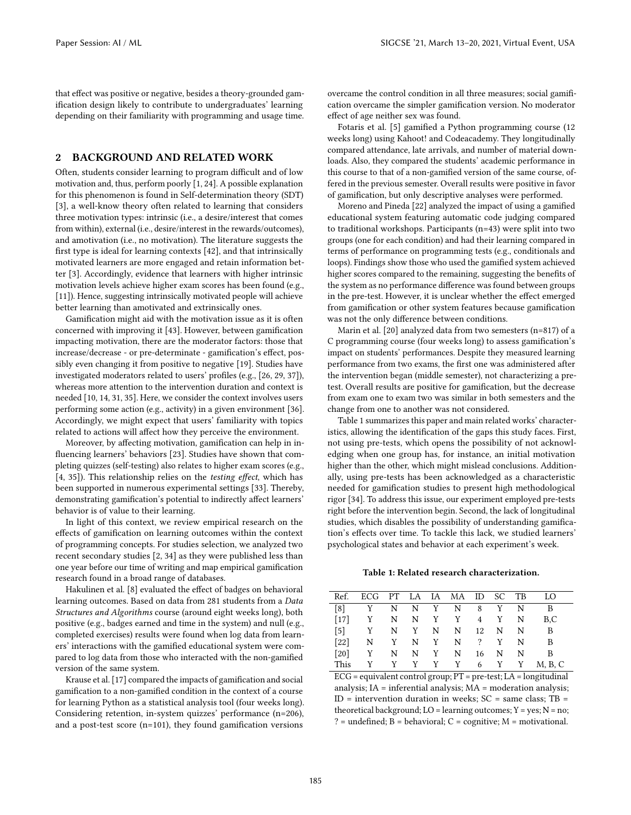that effect was positive or negative, besides a theory-grounded gamification design likely to contribute to undergraduates' learning depending on their familiarity with programming and usage time.

### 2 BACKGROUND AND RELATED WORK

Often, students consider learning to program difficult and of low motivation and, thus, perform poorly [\[1,](#page-6-12) [24\]](#page-6-3). A possible explanation for this phenomenon is found in Self-determination theory (SDT) [\[3\]](#page-6-19), a well-know theory often related to learning that considers three motivation types: intrinsic (i.e., a desire/interest that comes from within), external (i.e., desire/interest in the rewards/outcomes), and amotivation (i.e., no motivation). The literature suggests the first type is ideal for learning contexts [\[42\]](#page-6-15), and that intrinsically motivated learners are more engaged and retain information better [\[3\]](#page-6-19). Accordingly, evidence that learners with higher intrinsic motivation levels achieve higher exam scores has been found (e.g., [\[11\]](#page-6-20)). Hence, suggesting intrinsically motivated people will achieve better learning than amotivated and extrinsically ones.

Gamification might aid with the motivation issue as it is often concerned with improving it [\[43\]](#page-6-21). However, between gamification impacting motivation, there are the moderator factors: those that increase/decrease - or pre-determinate - gamification's effect, possibly even changing it from positive to negative [\[19\]](#page-6-6). Studies have investigated moderators related to users' profiles (e.g., [\[26,](#page-6-22) [29,](#page-6-23) [37\]](#page-6-24)), whereas more attention to the intervention duration and context is needed [\[10,](#page-6-25) [14,](#page-6-26) [31,](#page-6-17) [35\]](#page-6-18). Here, we consider the context involves users performing some action (e.g., activity) in a given environment [\[36\]](#page-6-13). Accordingly, we might expect that users' familiarity with topics related to actions will affect how they perceive the environment.

Moreover, by affecting motivation, gamification can help in influencing learners' behaviors [\[23\]](#page-6-27). Studies have shown that completing quizzes (self-testing) also relates to higher exam scores (e.g., [\[4,](#page-6-28) [35\]](#page-6-18)). This relationship relies on the testing effect, which has been supported in numerous experimental settings [\[33\]](#page-6-29). Thereby, demonstrating gamification's potential to indirectly affect learners' behavior is of value to their learning.

In light of this context, we review empirical research on the effects of gamification on learning outcomes within the context of programming concepts. For studies selection, we analyzed two recent secondary studies [\[2,](#page-6-4) [34\]](#page-6-7) as they were published less than one year before our time of writing and map empirical gamification research found in a broad range of databases.

Hakulinen et al. [\[8\]](#page-6-10) evaluated the effect of badges on behavioral learning outcomes. Based on data from 281 students from a Data Structures and Algorithms course (around eight weeks long), both positive (e.g., badges earned and time in the system) and null (e.g., completed exercises) results were found when log data from learners' interactions with the gamified educational system were compared to log data from those who interacted with the non-gamified version of the same system.

Krause et al. [\[17\]](#page-6-30) compared the impacts of gamification and social gamification to a non-gamified condition in the context of a course for learning Python as a statistical analysis tool (four weeks long). Considering retention, in-system quizzes' performance (n=206), and a post-test score (n=101), they found gamification versions

overcame the control condition in all three measures; social gamification overcame the simpler gamification version. No moderator effect of age neither sex was found.

Fotaris et al. [\[5\]](#page-6-9) gamified a Python programming course (12 weeks long) using Kahoot! and Codeacademy. They longitudinally compared attendance, late arrivals, and number of material downloads. Also, they compared the students' academic performance in this course to that of a non-gamified version of the same course, offered in the previous semester. Overall results were positive in favor of gamification, but only descriptive analyses were performed.

Moreno and Pineda [\[22\]](#page-6-11) analyzed the impact of using a gamified educational system featuring automatic code judging compared to traditional workshops. Participants (n=43) were split into two groups (one for each condition) and had their learning compared in terms of performance on programming tests (e.g., conditionals and loops). Findings show those who used the gamified system achieved higher scores compared to the remaining, suggesting the benefits of the system as no performance difference was found between groups in the pre-test. However, it is unclear whether the effect emerged from gamification or other system features because gamification was not the only difference between conditions.

Marin et al. [\[20\]](#page-6-2) analyzed data from two semesters (n=817) of a C programming course (four weeks long) to assess gamification's impact on students' performances. Despite they measured learning performance from two exams, the first one was administered after the intervention began (middle semester), not characterizing a pretest. Overall results are positive for gamification, but the decrease from exam one to exam two was similar in both semesters and the change from one to another was not considered.

Table [1](#page-1-0) summarizes this paper and main related works' characteristics, allowing the identification of the gaps this study faces. First, not using pre-tests, which opens the possibility of not acknowledging when one group has, for instance, an initial motivation higher than the other, which might mislead conclusions. Additionally, using pre-tests has been acknowledged as a characteristic needed for gamification studies to present high methodological rigor [\[34\]](#page-6-7). To address this issue, our experiment employed pre-tests right before the intervention begin. Second, the lack of longitudinal studies, which disables the possibility of understanding gamification's effects over time. To tackle this lack, we studied learners' psychological states and behavior at each experiment's week.

#### Table 1: Related research characterization.

<span id="page-1-0"></span>

|                    | Ref. ECG PT LA IA MA ID SC TB        |     |         |         |             |    |           |   | - LO           |  |
|--------------------|--------------------------------------|-----|---------|---------|-------------|----|-----------|---|----------------|--|
| $\lceil 8 \rceil$  | Y                                    |     |         |         | N N Y N 8 Y |    |           | N | B              |  |
|                    | $[17]$ Y N N Y Y 4 Y                 |     |         |         |             |    |           | N | B.C            |  |
| $\lceil 5 \rceil$  | Y                                    |     | N Y     | N       | N           |    | 12 N      | N | - B            |  |
| $\lceil 22 \rceil$ |                                      |     | N Y N Y |         |             |    | $N \t? Y$ | N | $\overline{B}$ |  |
|                    | $\begin{bmatrix} 20 \end{bmatrix}$ Y | N – |         | $N$ $Y$ | N           | 16 | N         | N | B              |  |
| This               | Y                                    |     |         |         | YYYY 6YY    |    |           |   | M. B. C        |  |
|                    |                                      |     |         |         |             |    |           |   |                |  |

ECG = equivalent control group; PT = pre-test; LA = longitudinal analysis; IA = inferential analysis; MA = moderation analysis;  $ID = intervention duration in weeks; SC = same class; TB =$ theoretical background;  $LO = learning$  outcomes;  $Y = yes$ ;  $N = no$ ; ? = undefined;  $B =$  behavioral;  $C =$  cognitive;  $M =$  motivational.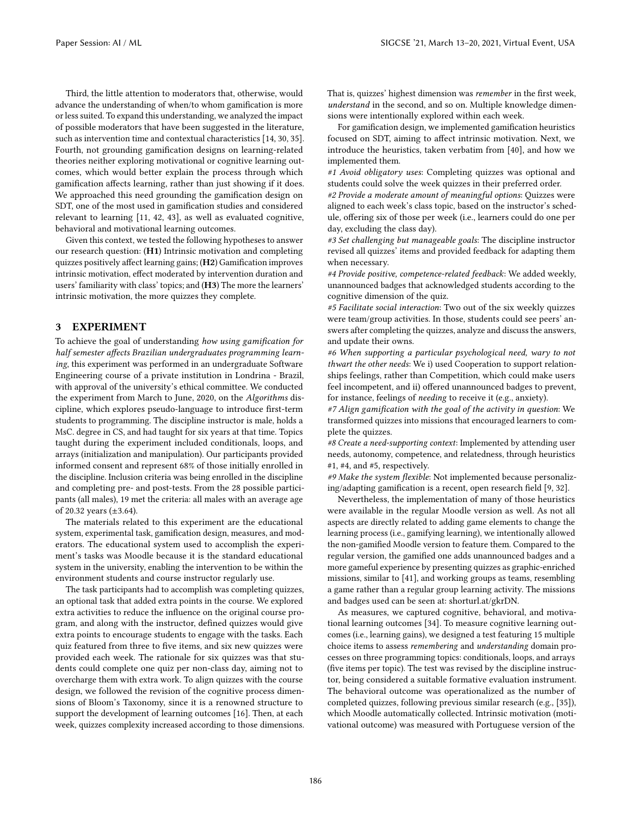Third, the little attention to moderators that, otherwise, would advance the understanding of when/to whom gamification is more or less suited. To expand this understanding, we analyzed the impact of possible moderators that have been suggested in the literature, such as intervention time and contextual characteristics [\[14,](#page-6-26) [30,](#page-6-31) [35\]](#page-6-18). Fourth, not grounding gamification designs on learning-related theories neither exploring motivational or cognitive learning outcomes, which would better explain the process through which gamification affects learning, rather than just showing if it does. We approached this need grounding the gamification design on SDT, one of the most used in gamification studies and considered relevant to learning [\[11,](#page-6-20) [42,](#page-6-15) [43\]](#page-6-21), as well as evaluated cognitive, behavioral and motivational learning outcomes.

Given this context, we tested the following hypotheses to answer our research question: (H1) Intrinsic motivation and completing quizzes positively affect learning gains; (H2) Gamification improves intrinsic motivation, effect moderated by intervention duration and users' familiarity with class' topics; and (H3) The more the learners' intrinsic motivation, the more quizzes they complete.

#### 3 EXPERIMENT

To achieve the goal of understanding how using gamification for half semester affects Brazilian undergraduates programming learning, this experiment was performed in an undergraduate Software Engineering course of a private institution in Londrina - Brazil, with approval of the university's ethical committee. We conducted the experiment from March to June, 2020, on the Algorithms discipline, which explores pseudo-language to introduce first-term students to programming. The discipline instructor is male, holds a MsC. degree in CS, and had taught for six years at that time. Topics taught during the experiment included conditionals, loops, and arrays (initialization and manipulation). Our participants provided informed consent and represent 68% of those initially enrolled in the discipline. Inclusion criteria was being enrolled in the discipline and completing pre- and post-tests. From the 28 possible participants (all males), 19 met the criteria: all males with an average age of 20.32 years (±3.64).

The materials related to this experiment are the educational system, experimental task, gamification design, measures, and moderators. The educational system used to accomplish the experiment's tasks was Moodle because it is the standard educational system in the university, enabling the intervention to be within the environment students and course instructor regularly use.

The task participants had to accomplish was completing quizzes, an optional task that added extra points in the course. We explored extra activities to reduce the influence on the original course program, and along with the instructor, defined quizzes would give extra points to encourage students to engage with the tasks. Each quiz featured from three to five items, and six new quizzes were provided each week. The rationale for six quizzes was that students could complete one quiz per non-class day, aiming not to overcharge them with extra work. To align quizzes with the course design, we followed the revision of the cognitive process dimensions of Bloom's Taxonomy, since it is a renowned structure to support the development of learning outcomes [\[16\]](#page-6-32). Then, at each week, quizzes complexity increased according to those dimensions. That is, quizzes' highest dimension was remember in the first week, understand in the second, and so on. Multiple knowledge dimensions were intentionally explored within each week.

For gamification design, we implemented gamification heuristics focused on SDT, aiming to affect intrinsic motivation. Next, we introduce the heuristics, taken verbatim from [\[40\]](#page-6-33), and how we implemented them.

#1 Avoid obligatory uses: Completing quizzes was optional and students could solve the week quizzes in their preferred order.

#2 Provide a moderate amount of meaningful options: Quizzes were aligned to each week's class topic, based on the instructor's schedule, offering six of those per week (i.e., learners could do one per day, excluding the class day).

#3 Set challenging but manageable goals: The discipline instructor revised all quizzes' items and provided feedback for adapting them when necessary.

#4 Provide positive, competence-related feedback: We added weekly, unannounced badges that acknowledged students according to the cognitive dimension of the quiz.

#5 Facilitate social interaction: Two out of the six weekly quizzes were team/group activities. In those, students could see peers' answers after completing the quizzes, analyze and discuss the answers, and update their owns.

#6 When supporting a particular psychological need, wary to not thwart the other needs: We i) used Cooperation to support relationships feelings, rather than Competition, which could make users feel incompetent, and ii) offered unannounced badges to prevent, for instance, feelings of needing to receive it (e.g., anxiety).

#7 Align gamification with the goal of the activity in question: We transformed quizzes into missions that encouraged learners to complete the quizzes.

#8 Create a need-supporting context: Implemented by attending user needs, autonomy, competence, and relatedness, through heuristics #1, #4, and #5, respectively.

#9 Make the system flexible: Not implemented because personalizing/adapting gamification is a recent, open research field [\[9,](#page-6-34) [32\]](#page-6-35).

Nevertheless, the implementation of many of those heuristics were available in the regular Moodle version as well. As not all aspects are directly related to adding game elements to change the learning process (i.e., gamifying learning), we intentionally allowed the non-gamified Moodle version to feature them. Compared to the regular version, the gamified one adds unannounced badges and a more gameful experience by presenting quizzes as graphic-enriched missions, similar to [\[41\]](#page-6-36), and working groups as teams, resembling a game rather than a regular group learning activity. The missions and badges used can be seen at: shorturl.at/gkrDN.

As measures, we captured cognitive, behavioral, and motivational learning outcomes [\[34\]](#page-6-7). To measure cognitive learning outcomes (i.e., learning gains), we designed a test featuring 15 multiple choice items to assess remembering and understanding domain processes on three programming topics: conditionals, loops, and arrays (five items per topic). The test was revised by the discipline instructor, being considered a suitable formative evaluation instrument. The behavioral outcome was operationalized as the number of completed quizzes, following previous similar research (e.g., [\[35\]](#page-6-18)), which Moodle automatically collected. Intrinsic motivation (motivational outcome) was measured with Portuguese version of the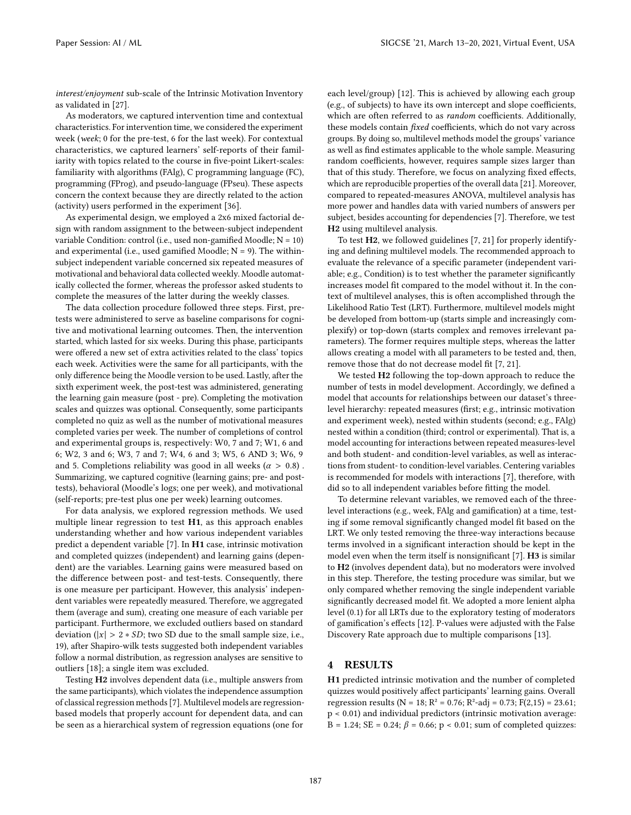interest/enjoyment sub-scale of the Intrinsic Motivation Inventory as validated in [\[27\]](#page-6-37).

As moderators, we captured intervention time and contextual characteristics. For intervention time, we considered the experiment week (week; 0 for the pre-test, 6 for the last week). For contextual characteristics, we captured learners' self-reports of their familiarity with topics related to the course in five-point Likert-scales: familiarity with algorithms (FAlg), C programming language (FC), programming (FProg), and pseudo-language (FPseu). These aspects concern the context because they are directly related to the action (activity) users performed in the experiment [\[36\]](#page-6-13).

As experimental design, we employed a 2x6 mixed factorial design with random assignment to the between-subject independent variable Condition: control (i.e., used non-gamified Moodle; N = 10) and experimental (i.e., used gamified Moodle;  $N = 9$ ). The withinsubject independent variable concerned six repeated measures of motivational and behavioral data collected weekly. Moodle automatically collected the former, whereas the professor asked students to complete the measures of the latter during the weekly classes.

The data collection procedure followed three steps. First, pretests were administered to serve as baseline comparisons for cognitive and motivational learning outcomes. Then, the intervention started, which lasted for six weeks. During this phase, participants were offered a new set of extra activities related to the class' topics each week. Activities were the same for all participants, with the only difference being the Moodle version to be used. Lastly, after the sixth experiment week, the post-test was administered, generating the learning gain measure (post - pre). Completing the motivation scales and quizzes was optional. Consequently, some participants completed no quiz as well as the number of motivational measures completed varies per week. The number of completions of control and experimental groups is, respectively: W0, 7 and 7; W1, 6 and 6; W2, 3 and 6; W3, 7 and 7; W4, 6 and 3; W5, 6 AND 3; W6, 9 and 5. Completions reliability was good in all weeks ( $\alpha > 0.8$ ). Summarizing, we captured cognitive (learning gains; pre- and posttests), behavioral (Moodle's logs; one per week), and motivational (self-reports; pre-test plus one per week) learning outcomes.

For data analysis, we explored regression methods. We used multiple linear regression to test H1, as this approach enables understanding whether and how various independent variables predict a dependent variable [\[7\]](#page-6-38). In H1 case, intrinsic motivation and completed quizzes (independent) and learning gains (dependent) are the variables. Learning gains were measured based on the difference between post- and test-tests. Consequently, there is one measure per participant. However, this analysis' independent variables were repeatedly measured. Therefore, we aggregated them (average and sum), creating one measure of each variable per participant. Furthermore, we excluded outliers based on standard deviation ( $|x| > 2 * SD$ ; two SD due to the small sample size, i.e., 19), after Shapiro-wilk tests suggested both independent variables follow a normal distribution, as regression analyses are sensitive to outliers [\[18\]](#page-6-39); a single item was excluded.

Testing H2 involves dependent data (i.e., multiple answers from the same participants), which violates the independence assumption of classical regression methods [\[7\]](#page-6-38). Multilevel models are regressionbased models that properly account for dependent data, and can be seen as a hierarchical system of regression equations (one for

each level/group) [\[12\]](#page-6-40). This is achieved by allowing each group (e.g., of subjects) to have its own intercept and slope coefficients, which are often referred to as random coefficients. Additionally, these models contain fixed coefficients, which do not vary across groups. By doing so, multilevel methods model the groups' variance as well as find estimates applicable to the whole sample. Measuring random coefficients, however, requires sample sizes larger than that of this study. Therefore, we focus on analyzing fixed effects, which are reproducible properties of the overall data [\[21\]](#page-6-41). Moreover, compared to repeated-measures ANOVA, multilevel analysis has more power and handles data with varied numbers of answers per subject, besides accounting for dependencies [\[7\]](#page-6-38). Therefore, we test H2 using multilevel analysis.

To test H2, we followed guidelines [\[7,](#page-6-38) [21\]](#page-6-41) for properly identifying and defining multilevel models. The recommended approach to evaluate the relevance of a specific parameter (independent variable; e.g., Condition) is to test whether the parameter significantly increases model fit compared to the model without it. In the context of multilevel analyses, this is often accomplished through the Likelihood Ratio Test (LRT). Furthermore, multilevel models might be developed from bottom-up (starts simple and increasingly complexify) or top-down (starts complex and removes irrelevant parameters). The former requires multiple steps, whereas the latter allows creating a model with all parameters to be tested and, then, remove those that do not decrease model fit [\[7,](#page-6-38) [21\]](#page-6-41).

We tested H2 following the top-down approach to reduce the number of tests in model development. Accordingly, we defined a model that accounts for relationships between our dataset's threelevel hierarchy: repeated measures (first; e.g., intrinsic motivation and experiment week), nested within students (second; e.g., FAlg) nested within a condition (third; control or experimental). That is, a model accounting for interactions between repeated measures-level and both student- and condition-level variables, as well as interactions from student- to condition-level variables. Centering variables is recommended for models with interactions [\[7\]](#page-6-38), therefore, with did so to all independent variables before fitting the model.

To determine relevant variables, we removed each of the threelevel interactions (e.g., week, FAlg and gamification) at a time, testing if some removal significantly changed model fit based on the LRT. We only tested removing the three-way interactions because terms involved in a significant interaction should be kept in the model even when the term itself is nonsignificant [\[7\]](#page-6-38). H3 is similar to H2 (involves dependent data), but no moderators were involved in this step. Therefore, the testing procedure was similar, but we only compared whether removing the single independent variable significantly decreased model fit. We adopted a more lenient alpha level (0.1) for all LRTs due to the exploratory testing of moderators of gamification's effects [\[12\]](#page-6-40). P-values were adjusted with the False Discovery Rate approach due to multiple comparisons [\[13\]](#page-6-42).

#### 4 RESULTS

H1 predicted intrinsic motivation and the number of completed quizzes would positively affect participants' learning gains. Overall regression results ( $N = 18$ ;  $R^2 = 0.76$ ;  $R^2$ -adj = 0.73;  $F(2,15) = 23.61$ ; p < 0.01) and individual predictors (intrinsic motivation average:  $B = 1.24$ ;  $SE = 0.24$ ;  $\beta = 0.66$ ;  $p < 0.01$ ; sum of completed quizzes: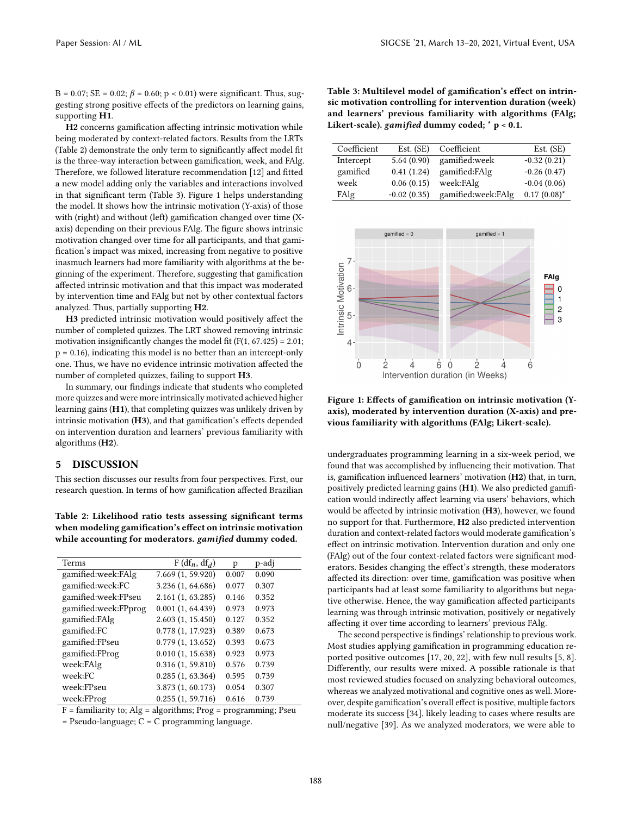$B = 0.07$ ; SE = 0.02;  $\beta = 0.60$ ; p < 0.01) were significant. Thus, suggesting strong positive effects of the predictors on learning gains, supporting H1.

H2 concerns gamification affecting intrinsic motivation while being moderated by context-related factors. Results from the LRTs (Table [2\)](#page-4-0) demonstrate the only term to significantly affect model fit is the three-way interaction between gamification, week, and FAlg. Therefore, we followed literature recommendation [\[12\]](#page-6-40) and fitted a new model adding only the variables and interactions involved in that significant term (Table [3\)](#page-4-1). Figure [1](#page-4-2) helps understanding the model. It shows how the intrinsic motivation (Y-axis) of those with (right) and without (left) gamification changed over time (Xaxis) depending on their previous FAlg. The figure shows intrinsic motivation changed over time for all participants, and that gamification's impact was mixed, increasing from negative to positive inasmuch learners had more familiarity with algorithms at the beginning of the experiment. Therefore, suggesting that gamification affected intrinsic motivation and that this impact was moderated by intervention time and FAlg but not by other contextual factors analyzed. Thus, partially supporting H2.

H3 predicted intrinsic motivation would positively affect the number of completed quizzes. The LRT showed removing intrinsic motivation insignificantly changes the model fit  $(F(1, 67.425) = 2.01;$  $p = 0.16$ ), indicating this model is no better than an intercept-only one. Thus, we have no evidence intrinsic motivation affected the number of completed quizzes, failing to support H3.

In summary, our findings indicate that students who completed more quizzes and were more intrinsically motivated achieved higher learning gains (H1), that completing quizzes was unlikely driven by intrinsic motivation (H3), and that gamification's effects depended on intervention duration and learners' previous familiarity with algorithms (H2).

### 5 DISCUSSION

This section discusses our results from four perspectives. First, our research question. In terms of how gamification affected Brazilian

<span id="page-4-0"></span>Table 2: Likelihood ratio tests assessing significant terms when modeling gamification's effect on intrinsic motivation while accounting for moderators. gamified dummy coded.

| <b>Terms</b>         | $F(df_n, df_d)$   | p     | p-adj |
|----------------------|-------------------|-------|-------|
| gamified:week:FAlg   | 7.669 (1, 59.920) | 0.007 | 0.090 |
| gamified:week:FC     | 3.236 (1, 64.686) | 0.077 | 0.307 |
| gamified:week:FPseu  | 2.161 (1, 63.285) | 0.146 | 0.352 |
| gamified:week:FPprog | 0.001(1, 64.439)  | 0.973 | 0.973 |
| gamified:FAlg        | 2.603(1, 15.450)  | 0.127 | 0.352 |
| gamified:FC          | 0.778(1, 17.923)  | 0.389 | 0.673 |
| gamified:FPseu       | 0.779(1, 13.652)  | 0.393 | 0.673 |
| gamified:FProg       | 0.010(1, 15.638)  | 0.923 | 0.973 |
| week:FAlg            | 0.316(1, 59.810)  | 0.576 | 0.739 |
| week:FC              | 0.285(1, 63.364)  | 0.595 | 0.739 |
| week:FPseu           | 3.873 (1, 60.173) | 0.054 | 0.307 |
| week:FProg           | 0.255(1, 59.716)  | 0.616 | 0.739 |

 $F =$  familiarity to; Alg = algorithms; Prog = programming; Pseu

= Pseudo-language; C = C programming language.

<span id="page-4-1"></span>Table 3: Multilevel model of gamification's effect on intrinsic motivation controlling for intervention duration (week) and learners' previous familiarity with algorithms (FAlg; Likert-scale). gamified dummy coded; \* p < 0.1.

| Coefficient | Est. (SE)     | Coefficient        | Est. (SE)      |
|-------------|---------------|--------------------|----------------|
| Intercept   | 5.64(0.90)    | gamified:week      | $-0.32(0.21)$  |
| gamified    | 0.41(1.24)    | gamified:FAlg      | $-0.26(0.47)$  |
| week        | 0.06(0.15)    | week:FAlg          | $-0.04(0.06)$  |
| FAlg        | $-0.02(0.35)$ | gamified:week:FAlg | $0.17(0.08)^*$ |

<span id="page-4-2"></span>

Figure 1: Effects of gamification on intrinsic motivation (Yaxis), moderated by intervention duration (X-axis) and previous familiarity with algorithms (FAlg; Likert-scale).

undergraduates programming learning in a six-week period, we found that was accomplished by influencing their motivation. That is, gamification influenced learners' motivation (H2) that, in turn, positively predicted learning gains (H1). We also predicted gamification would indirectly affect learning via users' behaviors, which would be affected by intrinsic motivation (H3), however, we found no support for that. Furthermore, H2 also predicted intervention duration and context-related factors would moderate gamification's effect on intrinsic motivation. Intervention duration and only one (FAlg) out of the four context-related factors were significant moderators. Besides changing the effect's strength, these moderators affected its direction: over time, gamification was positive when participants had at least some familiarity to algorithms but negative otherwise. Hence, the way gamification affected participants learning was through intrinsic motivation, positively or negatively affecting it over time according to learners' previous FAlg.

The second perspective is findings' relationship to previous work. Most studies applying gamification in programming education reported positive outcomes [\[17,](#page-6-30) [20,](#page-6-2) [22\]](#page-6-11), with few null results [\[5,](#page-6-9) [8\]](#page-6-10). Differently, our results were mixed. A possible rationale is that most reviewed studies focused on analyzing behavioral outcomes, whereas we analyzed motivational and cognitive ones as well. Moreover, despite gamification's overall effect is positive, multiple factors moderate its success [\[34\]](#page-6-7), likely leading to cases where results are null/negative [\[39\]](#page-6-43). As we analyzed moderators, we were able to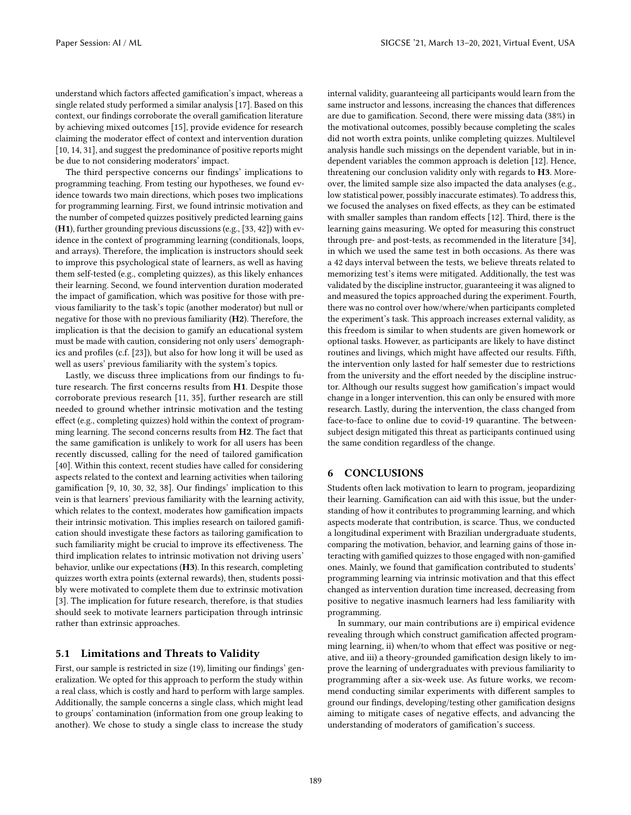understand which factors affected gamification's impact, whereas a single related study performed a similar analysis [\[17\]](#page-6-30). Based on this context, our findings corroborate the overall gamification literature by achieving mixed outcomes [\[15\]](#page-6-16), provide evidence for research claiming the moderator effect of context and intervention duration [\[10,](#page-6-25) [14,](#page-6-26) [31\]](#page-6-17), and suggest the predominance of positive reports might be due to not considering moderators' impact.

The third perspective concerns our findings' implications to programming teaching. From testing our hypotheses, we found evidence towards two main directions, which poses two implications for programming learning. First, we found intrinsic motivation and the number of competed quizzes positively predicted learning gains (H1), further grounding previous discussions (e.g., [\[33,](#page-6-29) [42\]](#page-6-15)) with evidence in the context of programming learning (conditionals, loops, and arrays). Therefore, the implication is instructors should seek to improve this psychological state of learners, as well as having them self-tested (e.g., completing quizzes), as this likely enhances their learning. Second, we found intervention duration moderated the impact of gamification, which was positive for those with previous familiarity to the task's topic (another moderator) but null or negative for those with no previous familiarity (H2). Therefore, the implication is that the decision to gamify an educational system must be made with caution, considering not only users' demographics and profiles (c.f. [\[23\]](#page-6-27)), but also for how long it will be used as well as users' previous familiarity with the system's topics.

Lastly, we discuss three implications from our findings to future research. The first concerns results from H1. Despite those corroborate previous research [\[11,](#page-6-20) [35\]](#page-6-18), further research are still needed to ground whether intrinsic motivation and the testing effect (e.g., completing quizzes) hold within the context of programming learning. The second concerns results from H2. The fact that the same gamification is unlikely to work for all users has been recently discussed, calling for the need of tailored gamification [\[40\]](#page-6-33). Within this context, recent studies have called for considering aspects related to the context and learning activities when tailoring gamification [\[9,](#page-6-34) [10,](#page-6-25) [30,](#page-6-31) [32,](#page-6-35) [38\]](#page-6-14). Our findings' implication to this vein is that learners' previous familiarity with the learning activity, which relates to the context, moderates how gamification impacts their intrinsic motivation. This implies research on tailored gamification should investigate these factors as tailoring gamification to such familiarity might be crucial to improve its effectiveness. The third implication relates to intrinsic motivation not driving users' behavior, unlike our expectations (H3). In this research, completing quizzes worth extra points (external rewards), then, students possibly were motivated to complete them due to extrinsic motivation [\[3\]](#page-6-19). The implication for future research, therefore, is that studies should seek to motivate learners participation through intrinsic rather than extrinsic approaches.

## 5.1 Limitations and Threats to Validity

First, our sample is restricted in size (19), limiting our findings' generalization. We opted for this approach to perform the study within a real class, which is costly and hard to perform with large samples. Additionally, the sample concerns a single class, which might lead to groups' contamination (information from one group leaking to another). We chose to study a single class to increase the study

internal validity, guaranteeing all participants would learn from the same instructor and lessons, increasing the chances that differences are due to gamification. Second, there were missing data (38%) in the motivational outcomes, possibly because completing the scales did not worth extra points, unlike completing quizzes. Multilevel analysis handle such missings on the dependent variable, but in independent variables the common approach is deletion [\[12\]](#page-6-40). Hence, threatening our conclusion validity only with regards to H3. Moreover, the limited sample size also impacted the data analyses (e.g., low statistical power, possibly inaccurate estimates). To address this, we focused the analyses on fixed effects, as they can be estimated with smaller samples than random effects [\[12\]](#page-6-40). Third, there is the learning gains measuring. We opted for measuring this construct through pre- and post-tests, as recommended in the literature [\[34\]](#page-6-7), in which we used the same test in both occasions. As there was a 42 days interval between the tests, we believe threats related to memorizing test's items were mitigated. Additionally, the test was validated by the discipline instructor, guaranteeing it was aligned to and measured the topics approached during the experiment. Fourth, there was no control over how/where/when participants completed the experiment's task. This approach increases external validity, as this freedom is similar to when students are given homework or optional tasks. However, as participants are likely to have distinct routines and livings, which might have affected our results. Fifth, the intervention only lasted for half semester due to restrictions from the university and the effort needed by the discipline instructor. Although our results suggest how gamification's impact would change in a longer intervention, this can only be ensured with more research. Lastly, during the intervention, the class changed from face-to-face to online due to covid-19 quarantine. The betweensubject design mitigated this threat as participants continued using the same condition regardless of the change.

## 6 CONCLUSIONS

Students often lack motivation to learn to program, jeopardizing their learning. Gamification can aid with this issue, but the understanding of how it contributes to programming learning, and which aspects moderate that contribution, is scarce. Thus, we conducted a longitudinal experiment with Brazilian undergraduate students, comparing the motivation, behavior, and learning gains of those interacting with gamified quizzes to those engaged with non-gamified ones. Mainly, we found that gamification contributed to students' programming learning via intrinsic motivation and that this effect changed as intervention duration time increased, decreasing from positive to negative inasmuch learners had less familiarity with programming.

In summary, our main contributions are i) empirical evidence revealing through which construct gamification affected programming learning, ii) when/to whom that effect was positive or negative, and iii) a theory-grounded gamification design likely to improve the learning of undergraduates with previous familiarity to programming after a six-week use. As future works, we recommend conducting similar experiments with different samples to ground our findings, developing/testing other gamification designs aiming to mitigate cases of negative effects, and advancing the understanding of moderators of gamification's success.